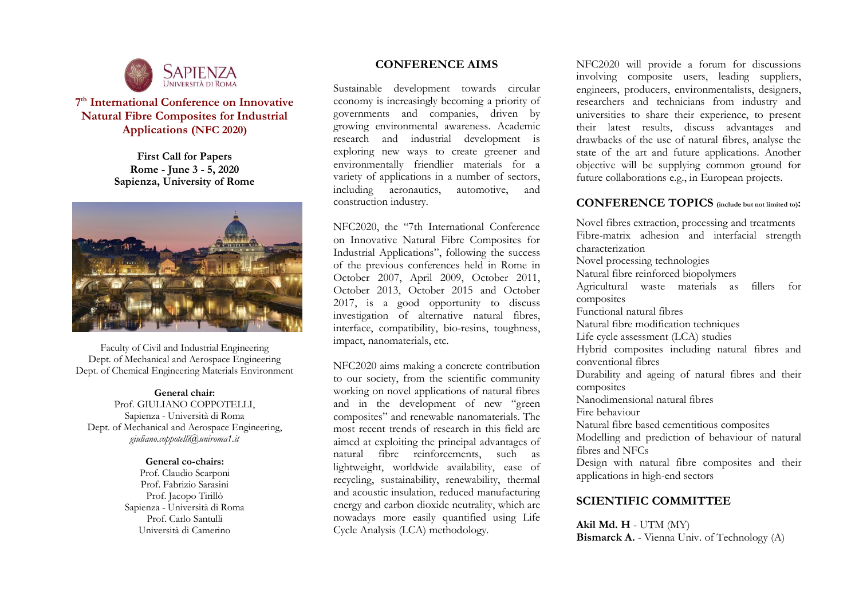

# **7 th International Conference on Innovative Natural Fibre Composites for Industrial Applications (NFC 2020)**

**First Call for Papers Rome - June 3 - 5, 2020 Sapienza, University of Rome**



Faculty of Civil and Industrial Engineering Dept. of Mechanical and Aerospace Engineering Dept. of Chemical Engineering Materials Environment

#### **General chair:**

Prof. GIULIANO COPPOTELLI, Sapienza - Università di Roma Dept. of Mechanical and Aerospace Engineering, *giuliano.coppotelli@uniroma1.it*

#### **General co-chairs:**

Prof. Claudio Scarponi Prof. Fabrizio Sarasini Prof. Jacopo Tirillò Sapienza - Università di Roma Prof. Carlo Santulli Università di Camerino

### **CONFERENCE AIMS**

Sustainable development towards circular economy is increasingly becoming a priority of governments and companies, driven by growing environmental awareness. Academic research and industrial development is exploring new ways to create greener and environmentally friendlier materials for a variety of applications in a number of sectors, including aeronautics, automotive, and construction industry.

NFC2020, the "7th International Conference on Innovative Natural Fibre Composites for Industrial Applications", following the success of the previous conferences held in Rome in October 2007, April 2009, October 2011, October 2013, October 2015 and October 2017, is a good opportunity to discuss investigation of alternative natural fibres, interface, compatibility, bio-resins, toughness, impact, nanomaterials, etc.

NFC2020 aims making a concrete contribution to our society, from the scientific community working on novel applications of natural fibres and in the development of new "green composites" and renewable nanomaterials. The most recent trends of research in this field are aimed at exploiting the principal advantages of natural fibre reinforcements, such as lightweight, worldwide availability, ease of recycling, sustainability, renewability, thermal and acoustic insulation, reduced manufacturing energy and carbon dioxide neutrality, which are nowadays more easily quantified using Life Cycle Analysis (LCA) methodology.

NFC2020 will provide a forum for discussions involving composite users, leading suppliers, engineers, producers, environmentalists, designers, researchers and technicians from industry and universities to share their experience, to present their latest results, discuss advantages and drawbacks of the use of natural fibres, analyse the state of the art and future applications. Another objective will be supplying common ground for future collaborations e.g., in European projects.

### **CONFERENCE TOPICS (include but not limited to):**

Novel fibres extraction, processing and treatments Fibre-matrix adhesion and interfacial strength characterization Novel processing technologies Natural fibre reinforced biopolymers Agricultural waste materials as fillers for composites Functional natural fibres Natural fibre modification techniques Life cycle assessment (LCA) studies Hybrid composites including natural fibres and conventional fibres Durability and ageing of natural fibres and their composites Nanodimensional natural fibres Fire behaviour Natural fibre based cementitious composites Modelling and prediction of behaviour of natural fibres and NFCs Design with natural fibre composites and their applications in high-end sectors

### **SCIENTIFIC COMMITTEE**

**Akil Md. H** - UTM (MY) **Bismarck A.** - Vienna Univ. of Technology (A)